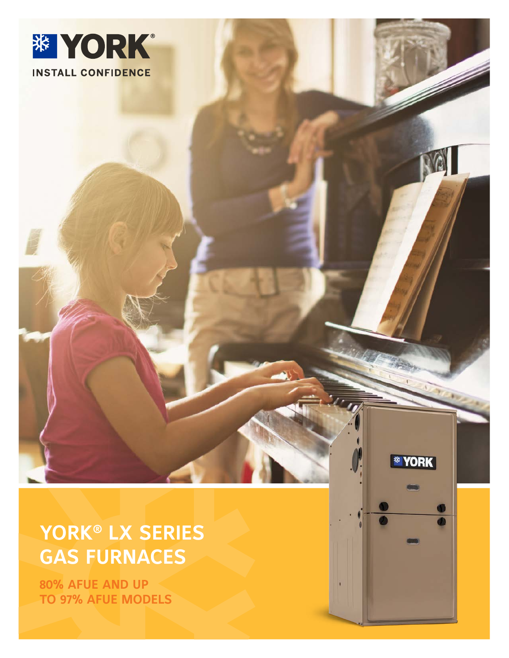

J Salvador Salvador Salvador Salvador Salvador Salvador Salvador Salvador Salvador Salvador Salvador Salvador<br>Salvador Salvador Salvador Salvador Salvador Salvador Salvador Salvador Salvador Salvador Salvador Salvador S

*\** YORK

### **YORK® LX SERIES GAS FURNACES**

**80% AFUE AND UP TO 97% AFUE MODELS**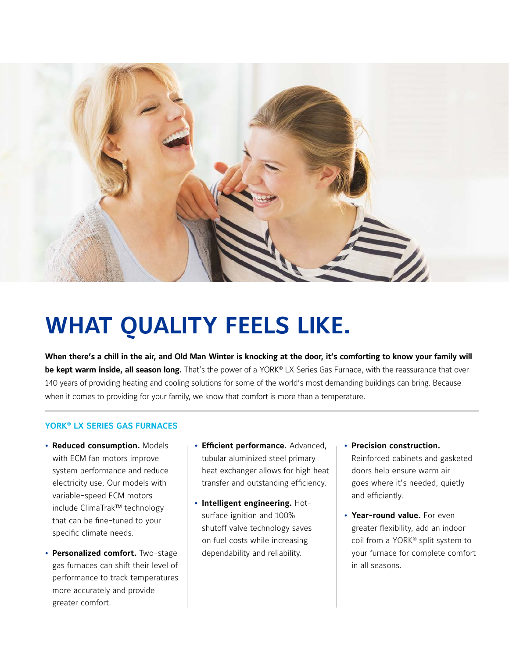

# **WHAT QUALITY FEELS LIKE.**

**When there's a chill in the air, and Old Man Winter is knocking at the door, it's comforting to know your family will be kept warm inside, all season long.** That's the power of a YORK® LX Series Gas Furnace, with the reassurance that over 140 years of providing heating and cooling solutions for some of the world's most demanding buildings can bring. Because when it comes to providing for your family, we know that comfort is more than a temperature.

### **YORK® LX SERIES GAS FURNACES**

- **Reduced consumption.** Models with ECM fan motors improve system performance and reduce electricity use. Our models with variable-speed ECM motors include ClimaTrak™ technology that can be fine-tuned to your specific climate needs.
- **Personalized comfort.** Two-stage gas furnaces can shift their level of performance to track temperatures more accurately and provide greater comfort.
- **Efficient performance.** Advanced, tubular aluminized steel primary heat exchanger allows for high heat transfer and outstanding efficiency.
- **Intelligent engineering.** Hotsurface ignition and 100% shutoff valve technology saves on fuel costs while increasing dependability and reliability.
- **Precision construction.**  Reinforced cabinets and gasketed doors help ensure warm air goes where it's needed, quietly and efficiently.
- **Year-round value.** For even greater flexibility, add an indoor coil from a YORK® split system to your furnace for complete comfort in all seasons.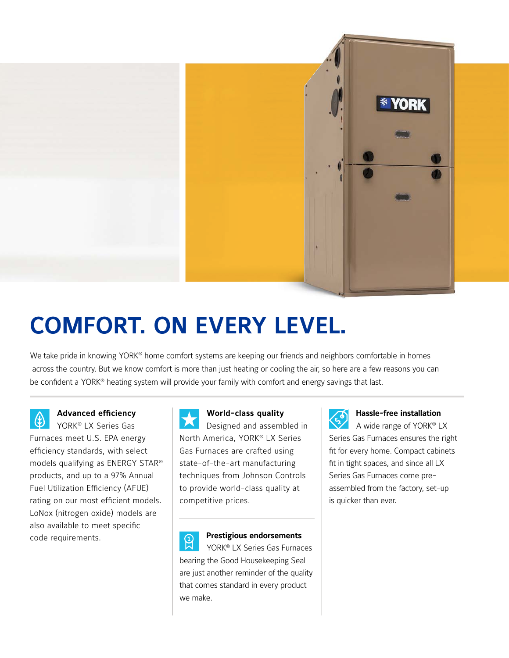

# **COMFORT. ON EVERY LEVEL.**

We take pride in knowing YORK<sup>®</sup> home comfort systems are keeping our friends and neighbors comfortable in homes across the country. But we know comfort is more than just heating or cooling the air, so here are a few reasons you can be confident a YORK® heating system will provide your family with comfort and energy savings that last.

**Advanced efficiency**   $\bf{r}$ YORK® LX Series Gas Furnaces meet U.S. EPA energy efficiency standards, with select models qualifying as ENERGY STAR® products, and up to a 97% Annual Fuel Utilization Efficiency (AFUE) rating on our most efficient models. LoNox (nitrogen oxide) models are also available to meet specific code requirements.

**World-class quality**  Designed and assembled in North America, YORK® LX Series Gas Furnaces are crafted using state-of-the-art manufacturing techniques from Johnson Controls to provide world-class quality at

competitive prices.

**Prestigious endorsements**   $\mathcal{Q}$ YORK® LX Series Gas Furnaces bearing the Good Housekeeping Seal are just another reminder of the quality that comes standard in every product we make.



### **Hassle-free installation**

A wide range of YORK® LX Series Gas Furnaces ensures the right fit for every home. Compact cabinets fit in tight spaces, and since all LX Series Gas Furnaces come preassembled from the factory, set-up is quicker than ever.